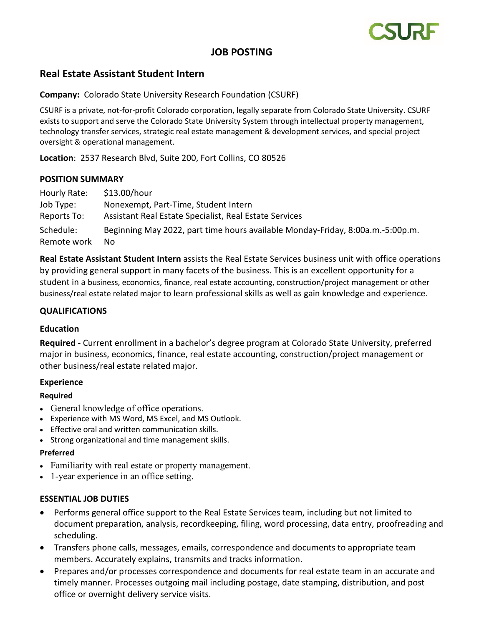

# **JOB POSTING**

# **Real Estate Assistant Student Intern**

**Company:** Colorado State University Research Foundation (CSURF)

CSURF is a private, not-for-profit Colorado corporation, legally separate from Colorado State University. CSURF exists to support and serve the Colorado State University System through intellectual property management, technology transfer services, strategic real estate management & development services, and special project oversight & operational management.

**Location**: 2537 Research Blvd, Suite 200, Fort Collins, CO 80526

#### **POSITION SUMMARY**

Hourly Rate: \$13.00/hour Job Type: Nonexempt, Part-Time, Student Intern Reports To: Assistant Real Estate Specialist, Real Estate Services Schedule: Beginning May 2022, part time hours available Monday-Friday, 8:00a.m.-5:00p.m. Remote work No

**Real Estate Assistant Student Intern** assists the Real Estate Services business unit with office operations by providing general support in many facets of the business. This is an excellent opportunity for a student in a business, economics, finance, real estate accounting, construction/project management or other business/real estate related major to learn professional skills as well as gain knowledge and experience.

## **QUALIFICATIONS**

#### **Education**

**Required** - Current enrollment in a bachelor's degree program at Colorado State University, preferred major in business, economics, finance, real estate accounting, construction/project management or other business/real estate related major.

## **Experience**

#### **Required**

- General knowledge of office operations.
- Experience with MS Word, MS Excel, and MS Outlook.
- Effective oral and written communication skills.
- Strong organizational and time management skills.

#### **Preferred**

- Familiarity with real estate or property management.
- 1-year experience in an office setting.

## **ESSENTIAL JOB DUTIES**

- Performs general office support to the Real Estate Services team, including but not limited to document preparation, analysis, recordkeeping, filing, word processing, data entry, proofreading and scheduling.
- Transfers phone calls, messages, emails, correspondence and documents to appropriate team members. Accurately explains, transmits and tracks information.
- Prepares and/or processes correspondence and documents for real estate team in an accurate and timely manner. Processes outgoing mail including postage, date stamping, distribution, and post office or overnight delivery service visits.